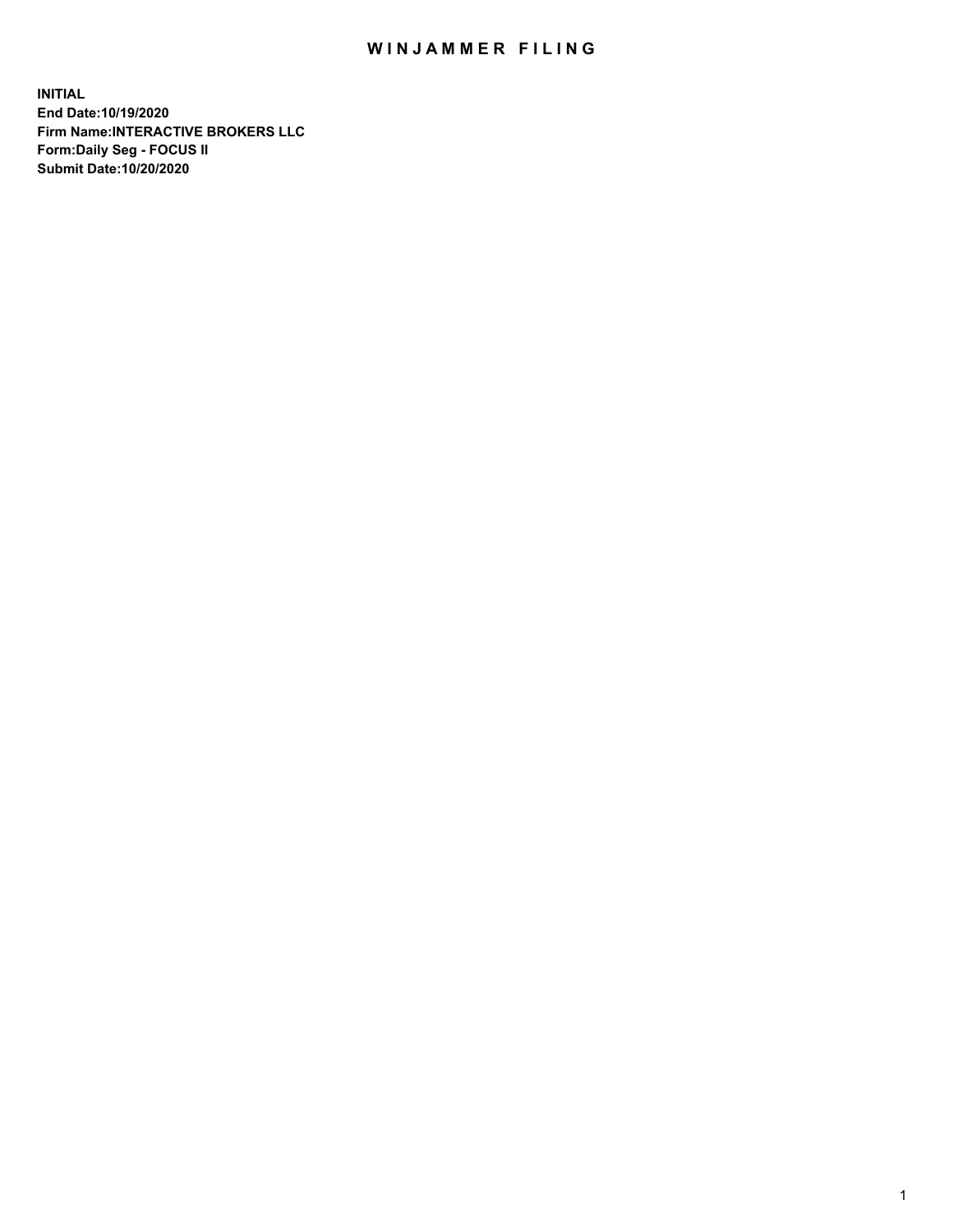## WIN JAMMER FILING

**INITIAL End Date:10/19/2020 Firm Name:INTERACTIVE BROKERS LLC Form:Daily Seg - FOCUS II Submit Date:10/20/2020**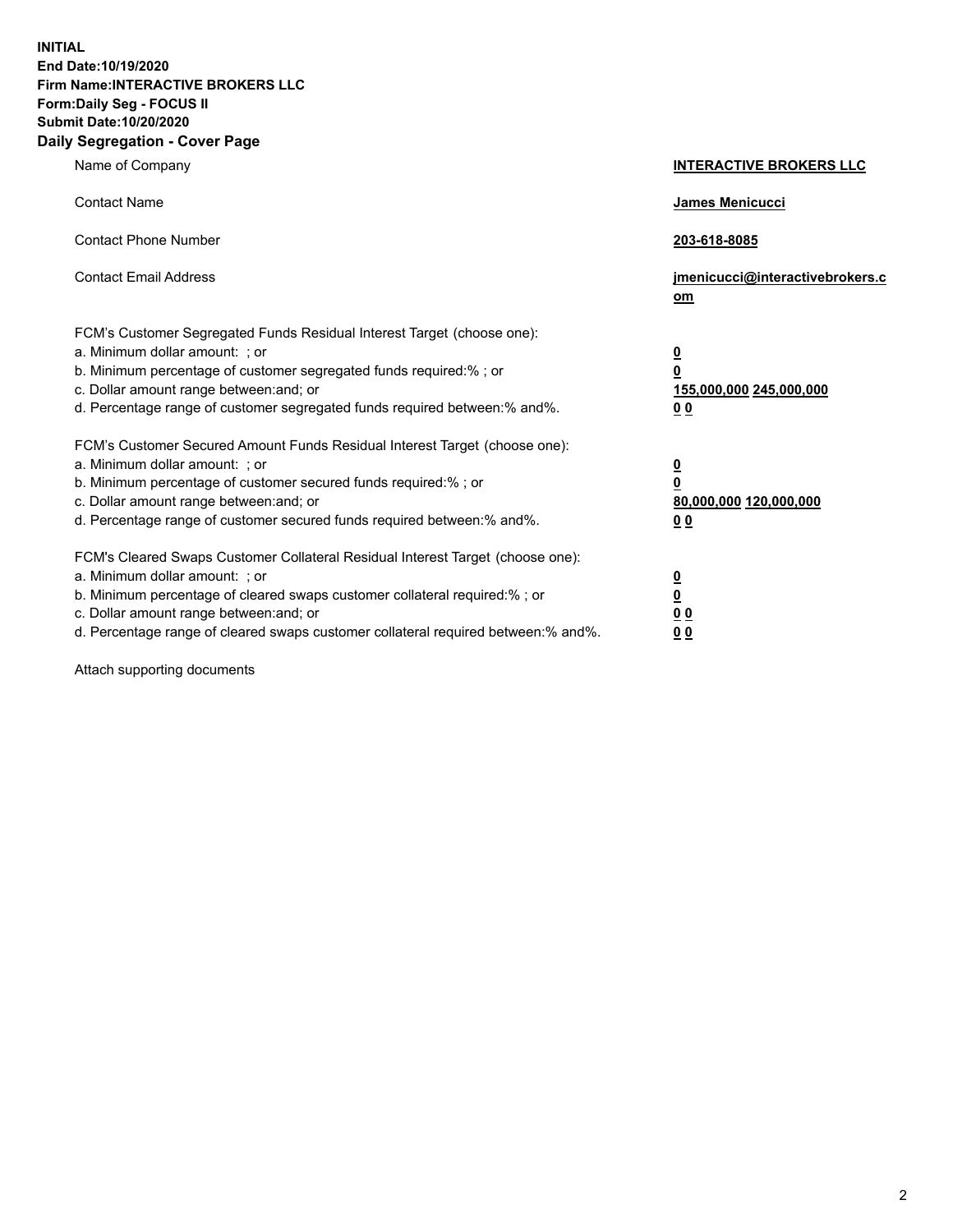**INITIAL End Date:10/19/2020 Firm Name:INTERACTIVE BROKERS LLC Form:Daily Seg - FOCUS II Submit Date:10/20/2020 Daily Segregation - Cover Page**

| Name of Company                                                                                                                                                                                                                                                                                                                | <b>INTERACTIVE BROKERS LLC</b>                                                  |  |
|--------------------------------------------------------------------------------------------------------------------------------------------------------------------------------------------------------------------------------------------------------------------------------------------------------------------------------|---------------------------------------------------------------------------------|--|
| <b>Contact Name</b>                                                                                                                                                                                                                                                                                                            | James Menicucci                                                                 |  |
| <b>Contact Phone Number</b>                                                                                                                                                                                                                                                                                                    | 203-618-8085                                                                    |  |
| <b>Contact Email Address</b>                                                                                                                                                                                                                                                                                                   | jmenicucci@interactivebrokers.c<br>om                                           |  |
| FCM's Customer Segregated Funds Residual Interest Target (choose one):<br>a. Minimum dollar amount: ; or<br>b. Minimum percentage of customer segregated funds required:%; or<br>c. Dollar amount range between: and; or<br>d. Percentage range of customer segregated funds required between:% and%.                          | <u>0</u><br>$\overline{\mathbf{0}}$<br>155,000,000 245,000,000<br><u>00</u>     |  |
| FCM's Customer Secured Amount Funds Residual Interest Target (choose one):<br>a. Minimum dollar amount: ; or<br>b. Minimum percentage of customer secured funds required:% ; or<br>c. Dollar amount range between: and; or<br>d. Percentage range of customer secured funds required between:% and%.                           | <u>0</u><br>$\overline{\mathbf{0}}$<br>80,000,000 120,000,000<br>0 <sub>0</sub> |  |
| FCM's Cleared Swaps Customer Collateral Residual Interest Target (choose one):<br>a. Minimum dollar amount: ; or<br>b. Minimum percentage of cleared swaps customer collateral required:% ; or<br>c. Dollar amount range between: and; or<br>d. Percentage range of cleared swaps customer collateral required between:% and%. | <u>0</u><br>$\underline{\mathbf{0}}$<br>0 <sub>0</sub><br>0 <sub>0</sub>        |  |

Attach supporting documents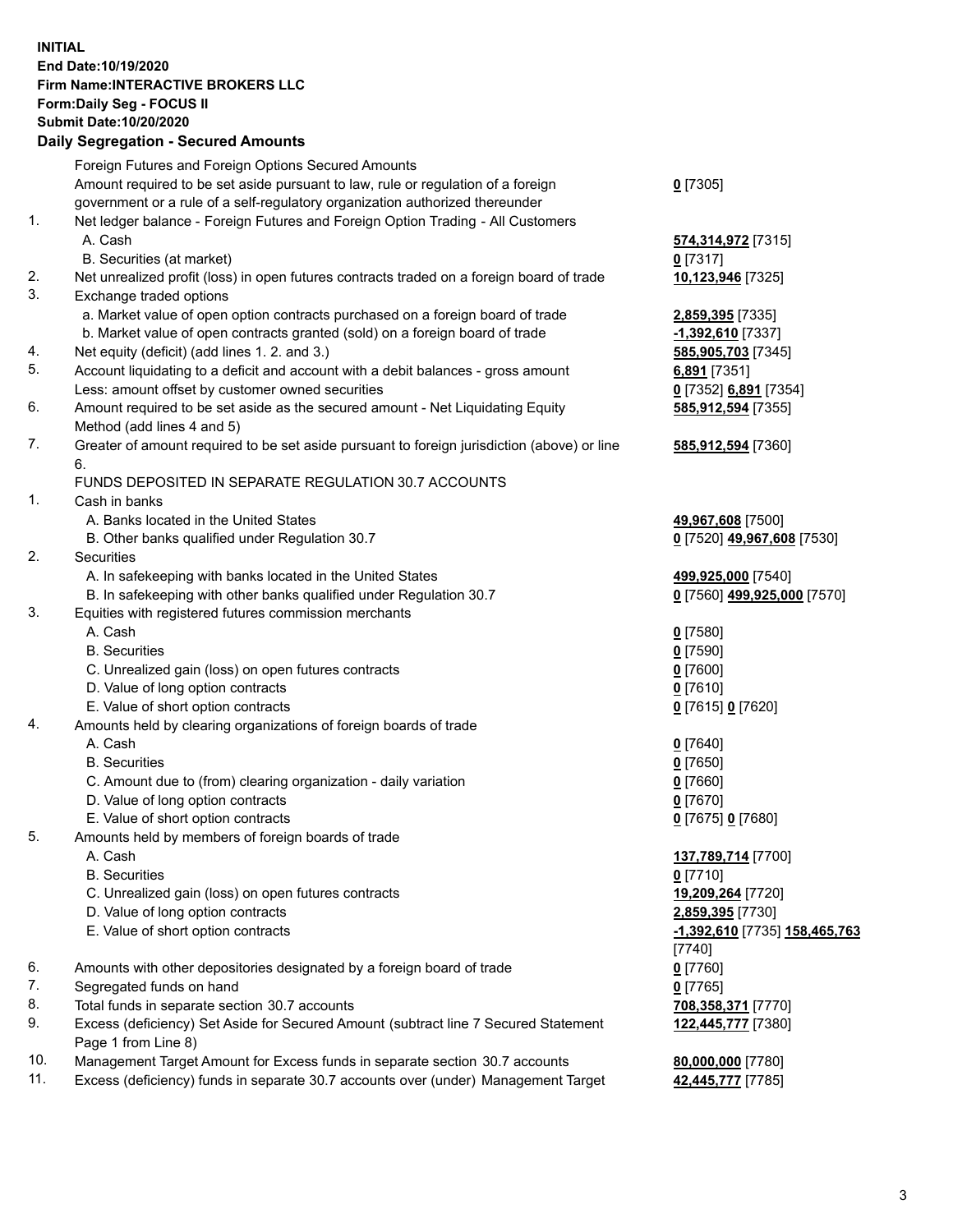**INITIAL End Date:10/19/2020 Firm Name:INTERACTIVE BROKERS LLC Form:Daily Seg - FOCUS II Submit Date:10/20/2020 Daily Segregation - Secured Amounts**

## Foreign Futures and Foreign Options Secured Amounts Amount required to be set aside pursuant to law, rule or regulation of a foreign government or a rule of a self-regulatory organization authorized thereunder **0** [7305] 1. Net ledger balance - Foreign Futures and Foreign Option Trading - All Customers A. Cash **574,314,972** [7315] B. Securities (at market) **0** [7317] 2. Net unrealized profit (loss) in open futures contracts traded on a foreign board of trade **10,123,946** [7325] 3. Exchange traded options a. Market value of open option contracts purchased on a foreign board of trade **2,859,395** [7335] b. Market value of open contracts granted (sold) on a foreign board of trade **-1,392,610** [7337] 4. Net equity (deficit) (add lines 1. 2. and 3.) **585,905,703** [7345] 5. Account liquidating to a deficit and account with a debit balances - gross amount **6,891** [7351] Less: amount offset by customer owned securities **0** [7352] **6,891** [7354] 6. Amount required to be set aside as the secured amount - Net Liquidating Equity Method (add lines 4 and 5) **585,912,594** [7355] 7. Greater of amount required to be set aside pursuant to foreign jurisdiction (above) or line 6. **585,912,594** [7360] FUNDS DEPOSITED IN SEPARATE REGULATION 30.7 ACCOUNTS 1. Cash in banks A. Banks located in the United States **49,967,608** [7500] B. Other banks qualified under Regulation 30.7 **0** [7520] **49,967,608** [7530] 2. Securities A. In safekeeping with banks located in the United States **499,925,000** [7540] B. In safekeeping with other banks qualified under Regulation 30.7 **0** [7560] **499,925,000** [7570] 3. Equities with registered futures commission merchants A. Cash **0** [7580] B. Securities **0** [7590] C. Unrealized gain (loss) on open futures contracts **0** [7600] D. Value of long option contracts **0** [7610] E. Value of short option contracts **0** [7615] **0** [7620] 4. Amounts held by clearing organizations of foreign boards of trade A. Cash **0** [7640] B. Securities **0** [7650] C. Amount due to (from) clearing organization - daily variation **0** [7660] D. Value of long option contracts **0** [7670] E. Value of short option contracts **0** [7675] **0** [7680] 5. Amounts held by members of foreign boards of trade A. Cash **137,789,714** [7700] B. Securities **0** [7710] C. Unrealized gain (loss) on open futures contracts **19,209,264** [7720] D. Value of long option contracts **2,859,395** [7730] E. Value of short option contracts **-1,392,610** [7735] **158,465,763** [7740] 6. Amounts with other depositories designated by a foreign board of trade **0** [7760] 7. Segregated funds on hand **0** [7765] 8. Total funds in separate section 30.7 accounts **708,358,371** [7770] 9. Excess (deficiency) Set Aside for Secured Amount (subtract line 7 Secured Statement Page 1 from Line 8) **122,445,777** [7380] 10. Management Target Amount for Excess funds in separate section 30.7 accounts **80,000,000** [7780] 11. Excess (deficiency) funds in separate 30.7 accounts over (under) Management Target **42,445,777** [7785]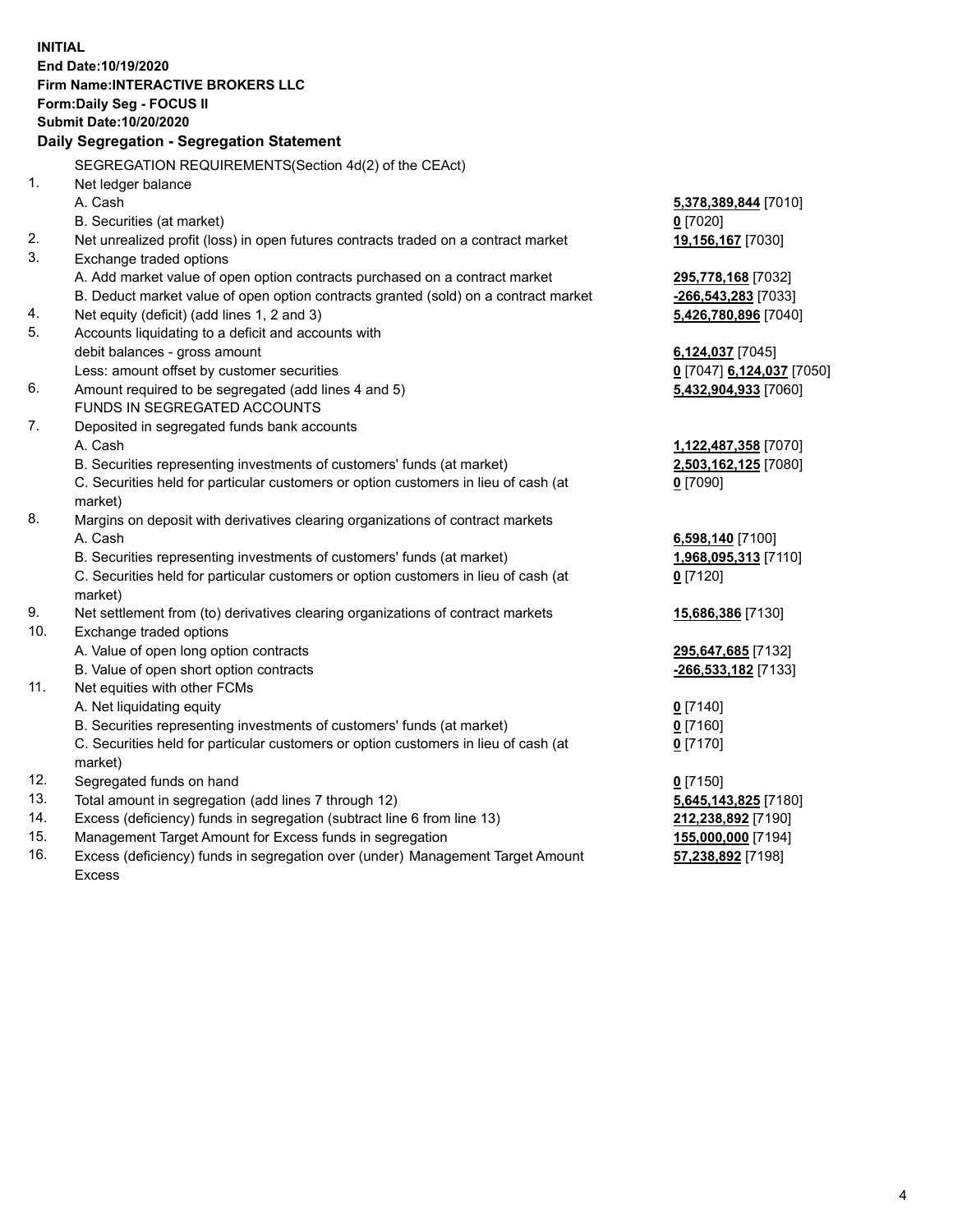**INITIAL End Date:10/19/2020 Firm Name:INTERACTIVE BROKERS LLC Form:Daily Seg - FOCUS II Submit Date:10/20/2020 Daily Segregation - Segregation Statement** SEGREGATION REQUIREMENTS(Section 4d(2) of the CEAct) 1. Net ledger balance A. Cash **5,378,389,844** [7010] B. Securities (at market) **0** [7020] 2. Net unrealized profit (loss) in open futures contracts traded on a contract market **19,156,167** [7030] 3. Exchange traded options A. Add market value of open option contracts purchased on a contract market **295,778,168** [7032] B. Deduct market value of open option contracts granted (sold) on a contract market **-266,543,283** [7033] 4. Net equity (deficit) (add lines 1, 2 and 3) **5,426,780,896** [7040] 5. Accounts liquidating to a deficit and accounts with debit balances - gross amount **6,124,037** [7045] Less: amount offset by customer securities **0** [7047] **6,124,037** [7050] 6. Amount required to be segregated (add lines 4 and 5) **5,432,904,933** [7060] FUNDS IN SEGREGATED ACCOUNTS 7. Deposited in segregated funds bank accounts A. Cash **1,122,487,358** [7070] B. Securities representing investments of customers' funds (at market) **2,503,162,125** [7080] C. Securities held for particular customers or option customers in lieu of cash (at market) **0** [7090] 8. Margins on deposit with derivatives clearing organizations of contract markets A. Cash **6,598,140** [7100] B. Securities representing investments of customers' funds (at market) **1,968,095,313** [7110] C. Securities held for particular customers or option customers in lieu of cash (at market) **0** [7120] 9. Net settlement from (to) derivatives clearing organizations of contract markets **15,686,386** [7130] 10. Exchange traded options A. Value of open long option contracts **295,647,685** [7132] B. Value of open short option contracts **-266,533,182** [7133] 11. Net equities with other FCMs A. Net liquidating equity **0** [7140] B. Securities representing investments of customers' funds (at market) **0** [7160] C. Securities held for particular customers or option customers in lieu of cash (at market) **0** [7170] 12. Segregated funds on hand **0** [7150] 13. Total amount in segregation (add lines 7 through 12) **5,645,143,825** [7180] 14. Excess (deficiency) funds in segregation (subtract line 6 from line 13) **212,238,892** [7190] 15. Management Target Amount for Excess funds in segregation **155,000,000** [7194] 16. Excess (deficiency) funds in segregation over (under) Management Target Amount **57,238,892** [7198]

Excess